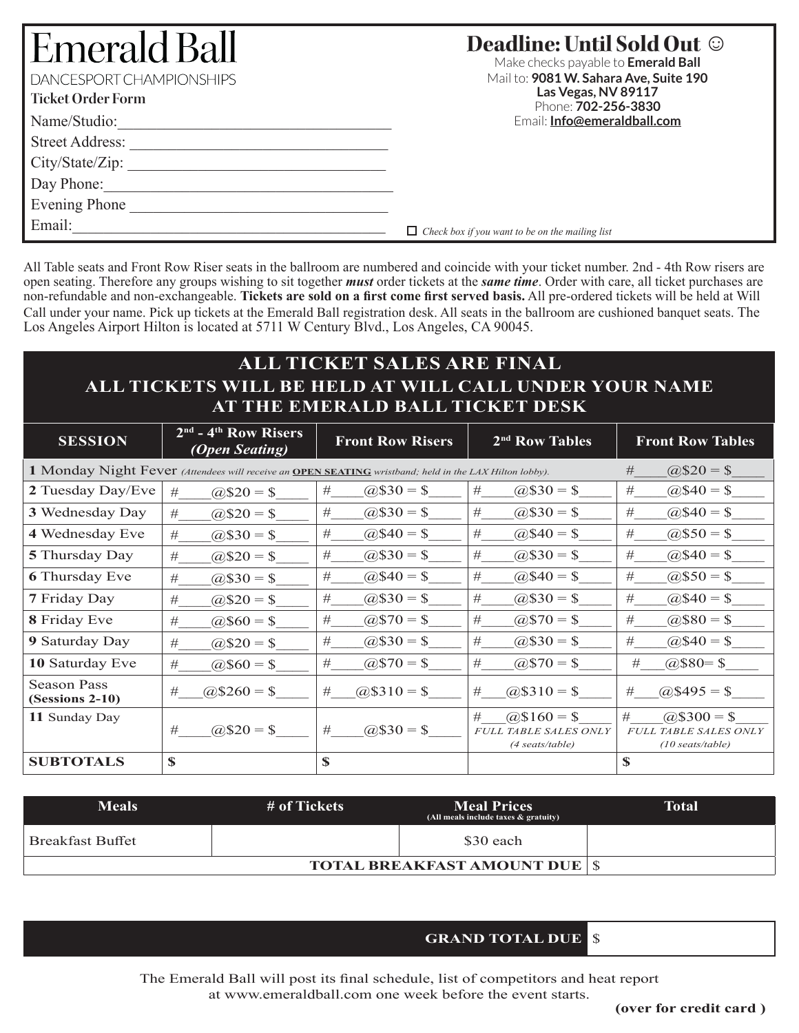# Eme **DANCESPC**

| <b>Emerald Ball</b><br>DANCESPORT CHAMPIONSHIPS<br><b>Ticket Order Form</b> | <b>Deadline: Until Sold Out ©</b><br>Make checks payable to <b>Emerald Ball</b><br>Mail to: 9081 W. Sahara Ave, Suite 190<br>Las Vegas, NV 89117<br>Phone: 702-256-3830 |
|-----------------------------------------------------------------------------|-------------------------------------------------------------------------------------------------------------------------------------------------------------------------|
| Name/Studio:                                                                | Email: <b>Info@emeraldball.com</b>                                                                                                                                      |
| <b>Street Address:</b>                                                      |                                                                                                                                                                         |
| City/State/Zip:                                                             |                                                                                                                                                                         |
| Day Phone:                                                                  |                                                                                                                                                                         |
| <b>Evening Phone</b>                                                        |                                                                                                                                                                         |

Email:\_\_\_\_\_\_\_\_\_\_\_\_\_\_\_\_\_\_\_\_\_\_\_\_\_\_\_\_\_\_\_\_\_\_\_\_\_\_\_\_

*Check box if you want to be on the mailing list*

All Table seats and Front Row Riser seats in the ballroom are numbered and coincide with your ticket number. 2nd - 4th Row risers are open seating. Therefore any groups wishing to sit together *must* order tickets at the *same time*. Order with care, all ticket purchases are non-refundable and non-exchangeable. **Tickets are sold on a first come first served basis.** All pre-ordered tickets will be held at Will Call under your name. Pick up tickets at the Emerald Ball registration desk. All seats in the ballroom are cushioned banquet seats. The Los Angeles Airport Hilton is located at 5711 W Century Blvd., Los Angeles, CA 90045.

## **ALL TICKET SALES ARE FINAL ALL TICKETS WILL BE HELD AT WILL CALL UNDER YOUR NAME AT THE EMERALD BALL TICKET DESK**

| <b>SESSION</b>                                                                                         | $2nd$ - 4 <sup>th</sup> Row Risers<br><i>(Open Seating)</i> | <b>Front Row Risers</b> | 2 <sup>nd</sup> Row Tables   | <b>Front Row Tables</b>      |
|--------------------------------------------------------------------------------------------------------|-------------------------------------------------------------|-------------------------|------------------------------|------------------------------|
| 1 Monday Night Fever (Attendees will receive an OPEN SEATING wristband; held in the LAX Hilton lobby). |                                                             | $\omega$ \$20 = \$<br># |                              |                              |
| 2 Tuesday Day/Eve                                                                                      | #                                                           | #                       | #                            | $(2.840 =$ \$                |
|                                                                                                        | $\omega$ \$20 = \$                                          | $\omega$ \$30 = \$      | $(2.530 = S)$                | #                            |
| 3 Wednesday Day                                                                                        | #                                                           | #                       | #                            | #                            |
|                                                                                                        | $(20)$ \$20 = \$                                            | $(2, $30 = $)$          | $(2, $30 = $$                | $(2, $40 = $$                |
| 4 Wednesday Eve                                                                                        | $(2, $30 = $)$                                              | $(2, $40 = $$           | $\omega$ \$40 = \$           | $(2\,$50 = $$                |
|                                                                                                        | #                                                           | #                       | #                            | #                            |
| <b>5</b> Thursday Day                                                                                  | $(2.520 = $$                                                | $(2.530 = $$            | #                            | $(2.840 =$ \$                |
|                                                                                                        | #                                                           | #                       | $\omega$ \$30 = \$           | #                            |
| <b>6</b> Thursday Eve                                                                                  | #                                                           | #                       | #                            | #                            |
|                                                                                                        | $(2, $30 = $)$                                              | $\omega$ \$40 = \$      | $\omega$ \$40 = \$           | $(2.550 =$ \$                |
| 7 Friday Day                                                                                           | #                                                           | $(2, $30 = $)$          | #                            | $(2.840 =$ \$                |
|                                                                                                        | $(2.520 = $$                                                | #                       | $\omega$ \$30 = \$           | #                            |
| 8 Friday Eve                                                                                           | $(2, $60 = $$                                               | #                       | #                            | #                            |
|                                                                                                        | #                                                           | $(20, 570) = $$         | $\omega$ \$70 = \$           | $(2, $80 = $$                |
| 9 Saturday Day                                                                                         | #                                                           | $(2, $30 = $)$          | #                            | #                            |
|                                                                                                        | $\omega$ \$20 = \$                                          | #                       | $(2, $30 = $$                | $\omega$ \$40 = \$           |
| 10 Saturday Eve                                                                                        | #                                                           | $(20, 570) = $$         | #                            | $(2, $80 = $$                |
|                                                                                                        | $\omega$ \$60 = \$                                          | #                       | $(2570) = $$                 | #                            |
| Season Pass                                                                                            | $\omega$ \$260 = \$                                         | $(25310 = $$            | $\omega$ \$310 = \$          | $\omega$ \$495 = \$          |
| $(Sessions 2-10)$                                                                                      | #                                                           | #                       | #                            | #                            |
| 11 Sunday Day                                                                                          |                                                             |                         | #<br>$\omega$ \$160 = \$     | #<br>$(a)$ \$300 = \$        |
|                                                                                                        | $\omega$ \$20 = \$                                          | $(2.530) = $$           | <b>FULL TABLE SALES ONLY</b> | <b>FULL TABLE SALES ONLY</b> |
|                                                                                                        | #                                                           | #                       | (4 seats/table)              | $(10 \text{ seats}/table)$   |
| <b>SUBTOTALS</b>                                                                                       | \$                                                          | \$                      |                              | \$                           |

| <b>Meals</b>            | # of Tickets                           | <b>Meal Prices</b><br>(All meals include taxes & gratuity) | Total |
|-------------------------|----------------------------------------|------------------------------------------------------------|-------|
| <b>Breakfast Buffet</b> |                                        | \$30 each                                                  |       |
|                         | <b>TOTAL BREAKFAST AMOUNT DUE   \$</b> |                                                            |       |

#### **GRAND TOTAL DUE** \$

The Emerald Ball will post its final schedule, list of competitors and heat report at www.emeraldball.com one week before the event starts.

**(over for credit card )**